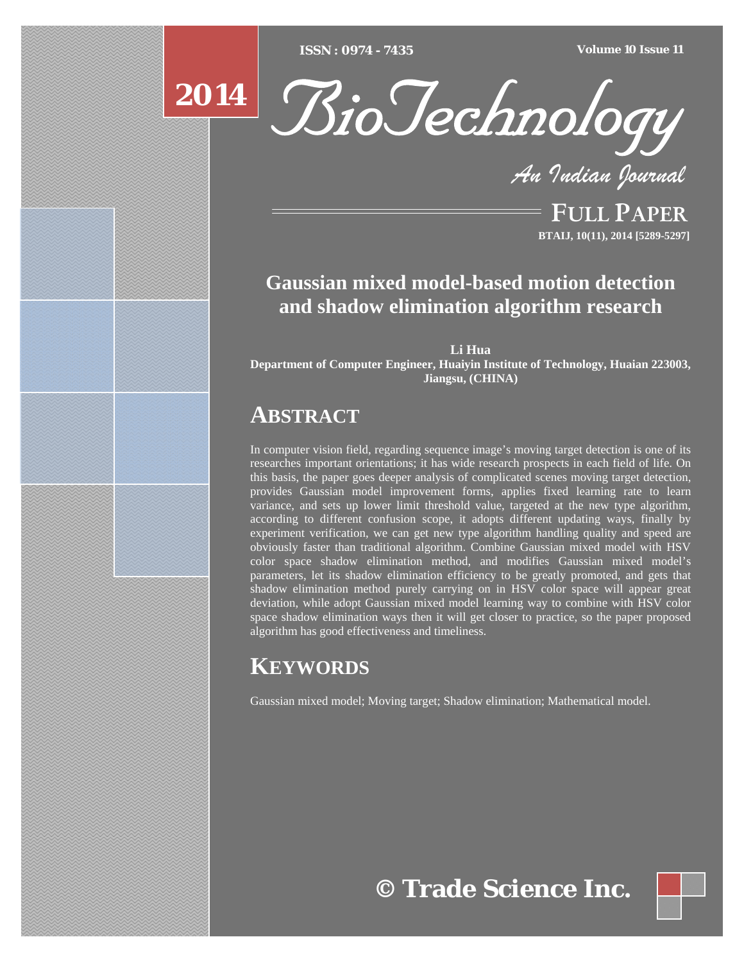[Type text] [Type text] [Type text] *ISSN : 0974 - 7435 Volume 10 Issue 11*



*An Indian Journal*

FULL PAPER **BTAIJ, 10(11), 2014 [5289-5297]**

# **Gaussian mixed model-based motion detection and shadow elimination algorithm research**

**Li Hua Department of Computer Engineer, Huaiyin Institute of Technology, Huaian 223003, Jiangsu, (CHINA)**

# **ABSTRACT**

In computer vision field, regarding sequence image's moving target detection is one of its researches important orientations; it has wide research prospects in each field of life. On this basis, the paper goes deeper analysis of complicated scenes moving target detection, provides Gaussian model improvement forms, applies fixed learning rate to learn variance, and sets up lower limit threshold value, targeted at the new type algorithm, according to different confusion scope, it adopts different updating ways, finally by experiment verification, we can get new type algorithm handling quality and speed are obviously faster than traditional algorithm. Combine Gaussian mixed model with HSV color space shadow elimination method, and modifies Gaussian mixed model's parameters, let its shadow elimination efficiency to be greatly promoted, and gets that shadow elimination method purely carrying on in HSV color space will appear great deviation, while adopt Gaussian mixed model learning way to combine with HSV color space shadow elimination ways then it will get closer to practice, so the paper proposed algorithm has good effectiveness and timeliness.

# **KEYWORDS**

Gaussian mixed model; Moving target; Shadow elimination; Mathematical model.

**© Trade Science Inc.**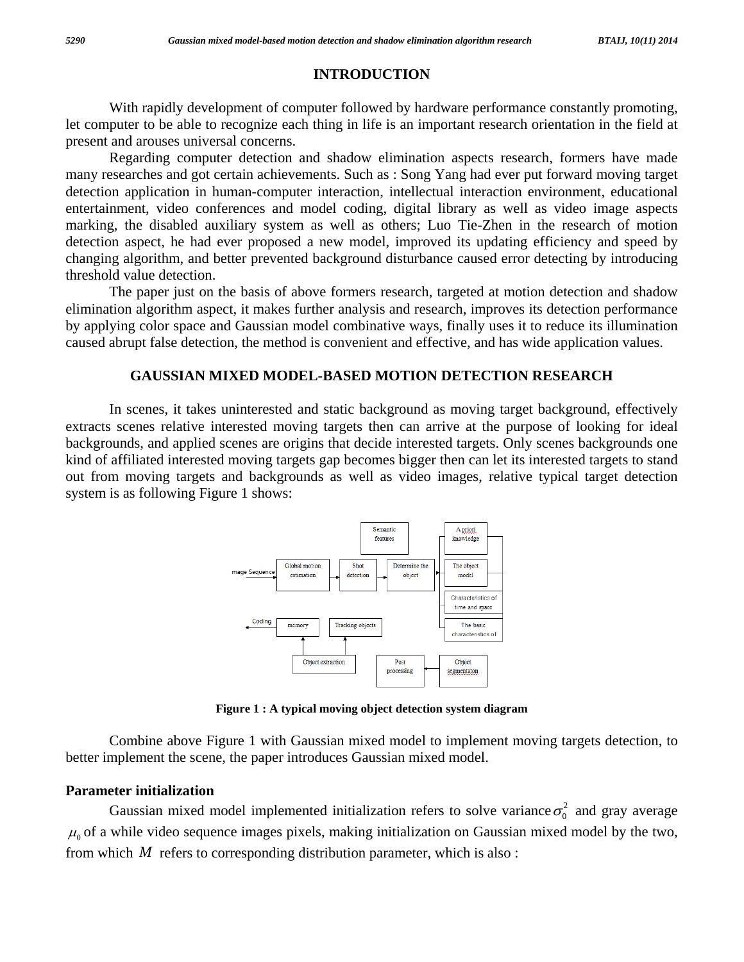# **INTRODUCTION**

 With rapidly development of computer followed by hardware performance constantly promoting, let computer to be able to recognize each thing in life is an important research orientation in the field at present and arouses universal concerns.

 Regarding computer detection and shadow elimination aspects research, formers have made many researches and got certain achievements. Such as : Song Yang had ever put forward moving target detection application in human-computer interaction, intellectual interaction environment, educational entertainment, video conferences and model coding, digital library as well as video image aspects marking, the disabled auxiliary system as well as others; Luo Tie-Zhen in the research of motion detection aspect, he had ever proposed a new model, improved its updating efficiency and speed by changing algorithm, and better prevented background disturbance caused error detecting by introducing threshold value detection.

 The paper just on the basis of above formers research, targeted at motion detection and shadow elimination algorithm aspect, it makes further analysis and research, improves its detection performance by applying color space and Gaussian model combinative ways, finally uses it to reduce its illumination caused abrupt false detection, the method is convenient and effective, and has wide application values.

## **GAUSSIAN MIXED MODEL-BASED MOTION DETECTION RESEARCH**

 In scenes, it takes uninterested and static background as moving target background, effectively extracts scenes relative interested moving targets then can arrive at the purpose of looking for ideal backgrounds, and applied scenes are origins that decide interested targets. Only scenes backgrounds one kind of affiliated interested moving targets gap becomes bigger then can let its interested targets to stand out from moving targets and backgrounds as well as video images, relative typical target detection system is as following Figure 1 shows:



**Figure 1 : A typical moving object detection system diagram** 

 Combine above Figure 1 with Gaussian mixed model to implement moving targets detection, to better implement the scene, the paper introduces Gaussian mixed model.

### **Parameter initialization**

Gaussian mixed model implemented initialization refers to solve variance  $\sigma_0^2$  and gray average  $\mu_0$  of a while video sequence images pixels, making initialization on Gaussian mixed model by the two, from which *M* refers to corresponding distribution parameter, which is also :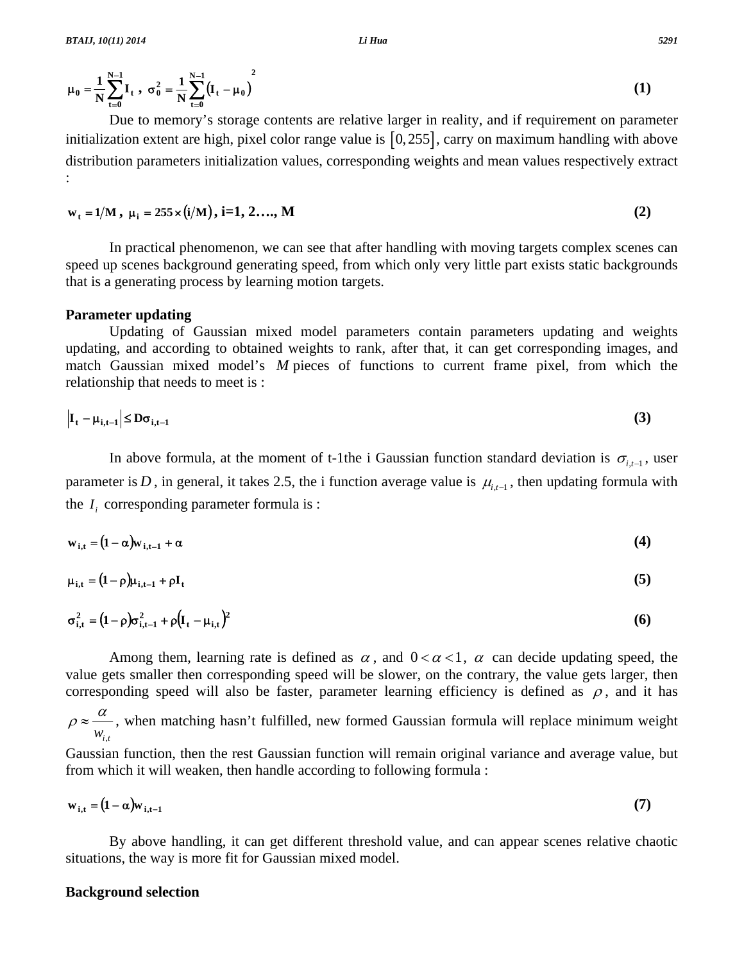$$
\mu_0 = \frac{1}{N} \sum_{t=0}^{N-1} I_t , \sigma_0^2 = \frac{1}{N} \sum_{t=0}^{N-1} (I_t - \mu_0)^2
$$
 (1)

 Due to memory's storage contents are relative larger in reality, and if requirement on parameter initialization extent are high, pixel color range value is [0,255], carry on maximum handling with above distribution parameters initialization values, corresponding weights and mean values respectively extract :

$$
w_{t} = 1/M, \mu_{i} = 255 \times (i/M), i=1, 2, ..., M
$$
 (2)

 In practical phenomenon, we can see that after handling with moving targets complex scenes can speed up scenes background generating speed, from which only very little part exists static backgrounds that is a generating process by learning motion targets.

#### **Parameter updating**

 Updating of Gaussian mixed model parameters contain parameters updating and weights updating, and according to obtained weights to rank, after that, it can get corresponding images, and match Gaussian mixed model's *M* pieces of functions to current frame pixel, from which the relationship that needs to meet is :

$$
\left| \mathbf{I}_{t} - \boldsymbol{\mu}_{i,t-1} \right| \leq \mathbf{D} \sigma_{i,t-1} \tag{3}
$$

In above formula, at the moment of t-1the i Gaussian function standard deviation is  $\sigma_{i,t-1}$ , user parameter is *D*, in general, it takes 2.5, the i function average value is  $\mu_{i-1}$ , then updating formula with the  $I_i$  corresponding parameter formula is :

$$
w_{i,t} = (1 - \alpha) w_{i,t-1} + \alpha \tag{4}
$$

$$
\mu_{i,t} = (1 - \rho)\mu_{i,t-1} + \rho I_t \tag{5}
$$

$$
\sigma_{i,t}^2 = (1 - \rho)\sigma_{i,t-1}^2 + \rho (I_t - \mu_{i,t})^2
$$
 (6)

Among them, learning rate is defined as  $\alpha$ , and  $0 < \alpha < 1$ ,  $\alpha$  can decide updating speed, the value gets smaller then corresponding speed will be slower, on the contrary, the value gets larger, then corresponding speed will also be faster, parameter learning efficiency is defined as  $\rho$ , and it has

$$
\rho \approx \frac{\alpha}{w_{i,t}}
$$
, when matching hasn't fulfilled, new formed Gaussian formula will replace minimum weight

Gaussian function, then the rest Gaussian function will remain original variance and average value, but from which it will weaken, then handle according to following formula :

$$
\mathbf{w}_{i,t} = (1 - \alpha)\mathbf{w}_{i,t-1} \tag{7}
$$

 By above handling, it can get different threshold value, and can appear scenes relative chaotic situations, the way is more fit for Gaussian mixed model.

#### **Background selection**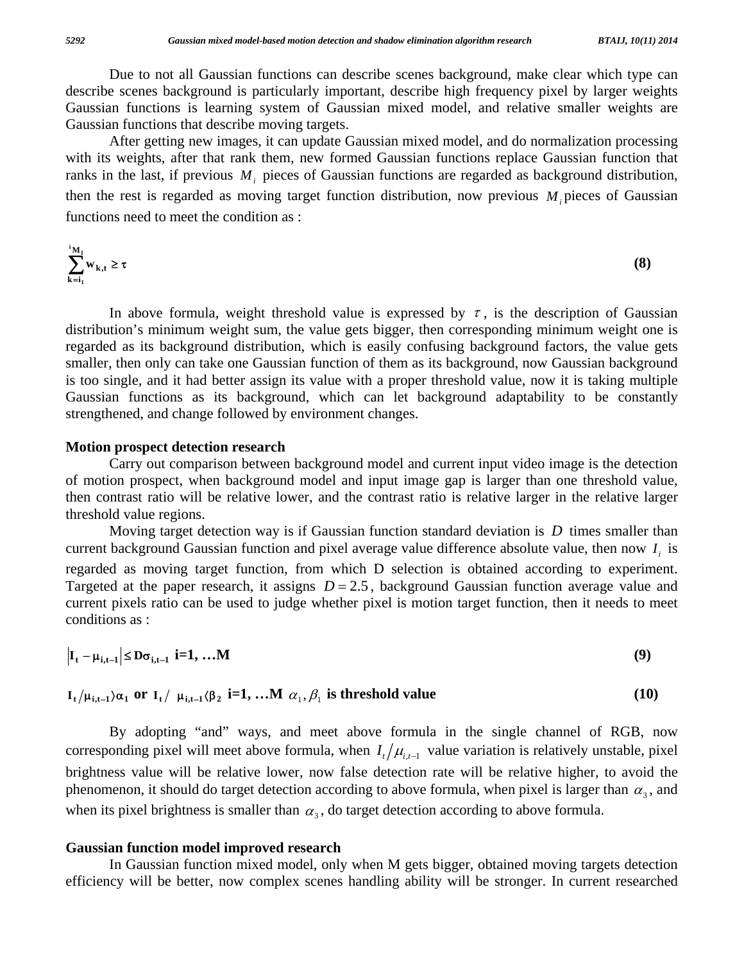Due to not all Gaussian functions can describe scenes background, make clear which type can describe scenes background is particularly important, describe high frequency pixel by larger weights Gaussian functions is learning system of Gaussian mixed model, and relative smaller weights are Gaussian functions that describe moving targets.

 After getting new images, it can update Gaussian mixed model, and do normalization processing with its weights, after that rank them, new formed Gaussian functions replace Gaussian function that ranks in the last, if previous  $M_i$  pieces of Gaussian functions are regarded as background distribution, then the rest is regarded as moving target function distribution, now previous  $M_i$  pieces of Gaussian functions need to meet the condition as :

$$
\sum_{k=i_1}^{i_{\mathbf{M}}} w_{k,t} \ge \tau \tag{8}
$$

In above formula, weight threshold value is expressed by  $\tau$ , is the description of Gaussian distribution's minimum weight sum, the value gets bigger, then corresponding minimum weight one is regarded as its background distribution, which is easily confusing background factors, the value gets smaller, then only can take one Gaussian function of them as its background, now Gaussian background is too single, and it had better assign its value with a proper threshold value, now it is taking multiple Gaussian functions as its background, which can let background adaptability to be constantly strengthened, and change followed by environment changes.

## **Motion prospect detection research**

 Carry out comparison between background model and current input video image is the detection of motion prospect, when background model and input image gap is larger than one threshold value, then contrast ratio will be relative lower, and the contrast ratio is relative larger in the relative larger threshold value regions.

 Moving target detection way is if Gaussian function standard deviation is *D* times smaller than current background Gaussian function and pixel average value difference absolute value, then now *I* is regarded as moving target function, from which D selection is obtained according to experiment. Targeted at the paper research, it assigns  $D = 2.5$ , background Gaussian function average value and current pixels ratio can be used to judge whether pixel is motion target function, then it needs to meet conditions as :

$$
\left|\mathbf{I}_{t} - \boldsymbol{\mu}_{i,t-1}\right| \leq \mathbf{D}\sigma_{i,t-1} \quad \mathbf{i} = 1, \dots \mathbf{M} \tag{9}
$$

 $\mathbf{I}_t / \mu_{i,t-1} \alpha_1$  or  $\mathbf{I}_t / \mu_{i,t-1} \beta_2$  **i=1, …M**  $\alpha_1, \beta_1$  is threshold value (10)

 By adopting "and" ways, and meet above formula in the single channel of RGB, now corresponding pixel will meet above formula, when  $I_t/\mu_{t}$  value variation is relatively unstable, pixel brightness value will be relative lower, now false detection rate will be relative higher, to avoid the phenomenon, it should do target detection according to above formula, when pixel is larger than  $\alpha_3$ , and when its pixel brightness is smaller than  $\alpha_3$ , do target detection according to above formula.

## **Gaussian function model improved research**

 In Gaussian function mixed model, only when M gets bigger, obtained moving targets detection efficiency will be better, now complex scenes handling ability will be stronger. In current researched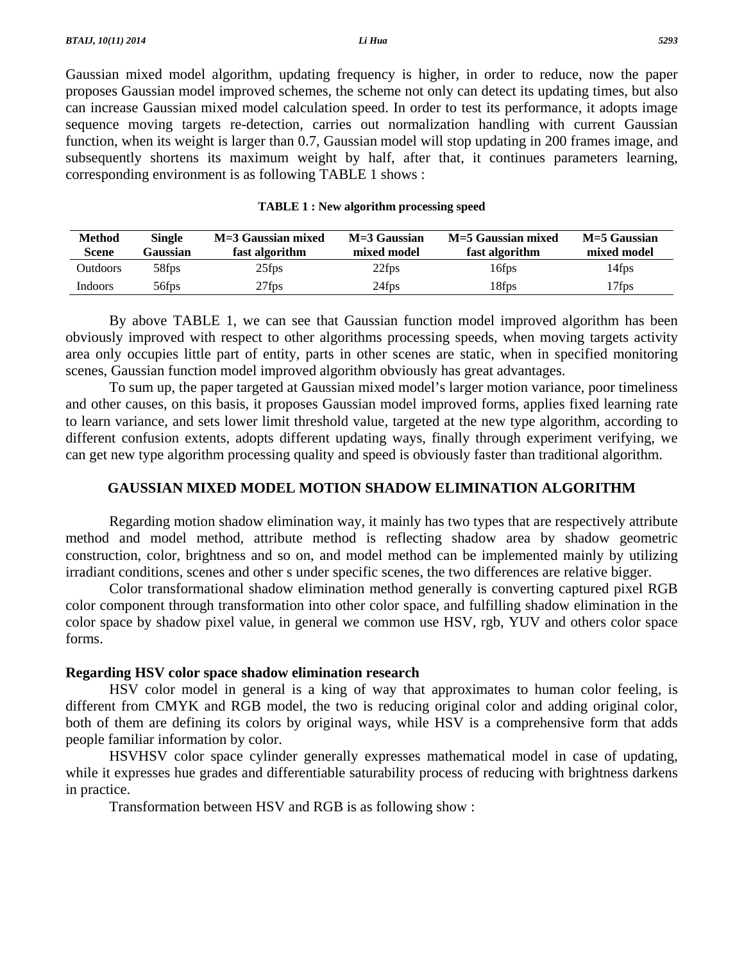Gaussian mixed model algorithm, updating frequency is higher, in order to reduce, now the paper proposes Gaussian model improved schemes, the scheme not only can detect its updating times, but also can increase Gaussian mixed model calculation speed. In order to test its performance, it adopts image sequence moving targets re-detection, carries out normalization handling with current Gaussian function, when its weight is larger than 0.7, Gaussian model will stop updating in 200 frames image, and subsequently shortens its maximum weight by half, after that, it continues parameters learning, corresponding environment is as following TABLE 1 shows :

|  |  |  |  | <b>TABLE 1: New algorithm processing speed</b> |
|--|--|--|--|------------------------------------------------|
|--|--|--|--|------------------------------------------------|

| <b>Method</b><br>Scene | Single<br>Gaussian | M=3 Gaussian mixed<br>fast algorithm | $M = 3$ Gaussian<br>mixed model | M=5 Gaussian mixed<br>fast algorithm | M=5 Gaussian<br>mixed model |
|------------------------|--------------------|--------------------------------------|---------------------------------|--------------------------------------|-----------------------------|
| Outdoors               | 58fps              | 25fps                                | $22$ fps                        | 16fps                                | 14fps                       |
| Indoors                | 56fps              | $27$ fps                             | 24fps                           | 18fps                                | 17fps                       |

 By above TABLE 1, we can see that Gaussian function model improved algorithm has been obviously improved with respect to other algorithms processing speeds, when moving targets activity area only occupies little part of entity, parts in other scenes are static, when in specified monitoring scenes, Gaussian function model improved algorithm obviously has great advantages.

 To sum up, the paper targeted at Gaussian mixed model's larger motion variance, poor timeliness and other causes, on this basis, it proposes Gaussian model improved forms, applies fixed learning rate to learn variance, and sets lower limit threshold value, targeted at the new type algorithm, according to different confusion extents, adopts different updating ways, finally through experiment verifying, we can get new type algorithm processing quality and speed is obviously faster than traditional algorithm.

# **GAUSSIAN MIXED MODEL MOTION SHADOW ELIMINATION ALGORITHM**

 Regarding motion shadow elimination way, it mainly has two types that are respectively attribute method and model method, attribute method is reflecting shadow area by shadow geometric construction, color, brightness and so on, and model method can be implemented mainly by utilizing irradiant conditions, scenes and other s under specific scenes, the two differences are relative bigger.

 Color transformational shadow elimination method generally is converting captured pixel RGB color component through transformation into other color space, and fulfilling shadow elimination in the color space by shadow pixel value, in general we common use HSV, rgb, YUV and others color space forms.

### **Regarding HSV color space shadow elimination research**

 HSV color model in general is a king of way that approximates to human color feeling, is different from CMYK and RGB model, the two is reducing original color and adding original color, both of them are defining its colors by original ways, while HSV is a comprehensive form that adds people familiar information by color.

 HSVHSV color space cylinder generally expresses mathematical model in case of updating, while it expresses hue grades and differentiable saturability process of reducing with brightness darkens in practice.

Transformation between HSV and RGB is as following show :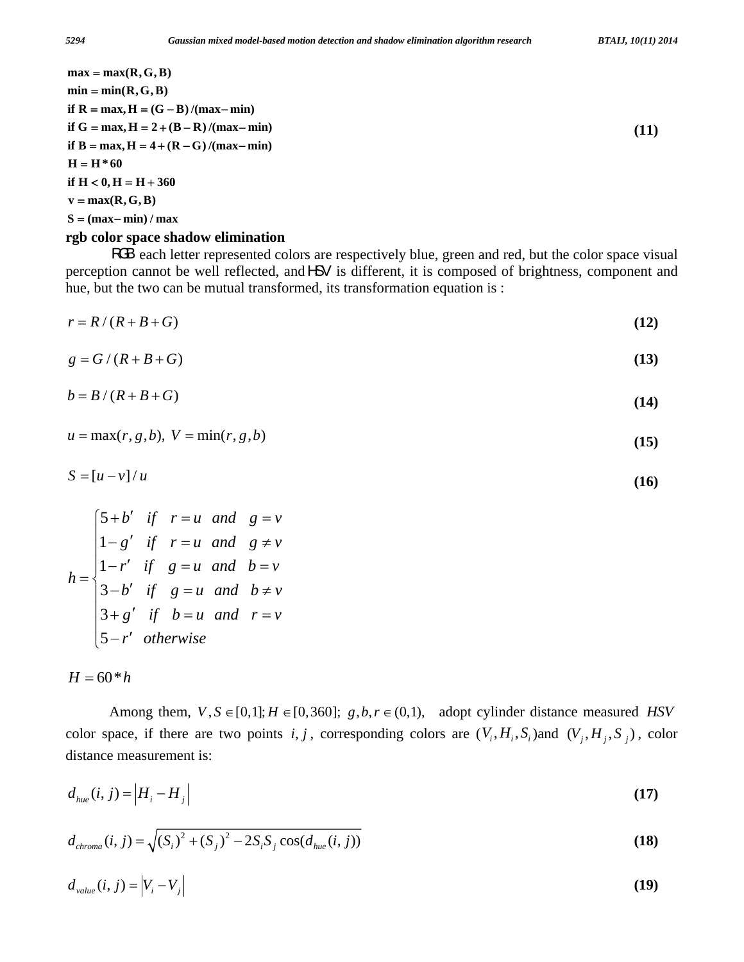$S = (max - min) / max$  $\mathbf{v} = \max(\mathbf{R}, \mathbf{G}, \mathbf{B})$  $\textbf{if} \ \mathbf{H} < 0, \mathbf{H} = \mathbf{H} + 360$  $H = H * 60$ **if**  $B = max, H = 4 + (R - G) / (max - min)$  $\mathbf{i} f \mathbf{G} = \max, \mathbf{H} = 2 + (\mathbf{B} - \mathbf{R}) / (\max - \min)$  $\mathbf{if} \mathbf{R} = \max, \mathbf{H} = (\mathbf{G} - \mathbf{B}) / (\max - \min)$  $min = min(R, G, B)$  $max = max(R, G, B)$ 

#### **rgb color space shadow elimination**

RGB each letter represented colors are respectively blue, green and red, but the color space visual perception cannot be well reflected, and HSV is different, it is composed of brightness, component and hue, but the two can be mutual transformed, its transformation equation is :

$$
r = R/(R + B + G) \tag{12}
$$

$$
g = G/(R+B+G) \tag{13}
$$

$$
b = B/(R+B+G) \tag{14}
$$

$$
u = \max(r, g, b), \ V = \min(r, g, b) \tag{15}
$$

$$
S = [u - v] / u \tag{16}
$$

$$
h = \begin{cases} 5+b' & \text{if } r = u \text{ and } g = v \\ 1-g' & \text{if } r = u \text{ and } g \neq v \\ 1-r' & \text{if } g = u \text{ and } b = v \\ 3-b' & \text{if } g = u \text{ and } b \neq v \\ 3+g' & \text{if } b = u \text{ and } r = v \\ 5-r' & \text{otherwise} \end{cases}
$$

$$
H=60^*h
$$

Among them,  $V, S \in [0,1]; H \in [0,360]$ ;  $g, b, r \in (0,1)$ , adopt cylinder distance measured *HSV* color space, if there are two points i, j, corresponding colors are  $(V_i, H_i, S_i)$  and  $(V_j, H_j, S_j)$ , color distance measurement is:

$$
d_{\textit{hue}}(i,j) = |H_i - H_j| \tag{17}
$$

$$
d_{\text{chroma}}(i, j) = \sqrt{(S_i)^2 + (S_j)^2 - 2S_i S_j \cos(d_{\text{hue}}(i, j))}
$$
\n(18)

$$
d_{value}(i, j) = |V_i - V_j|
$$
\n(19)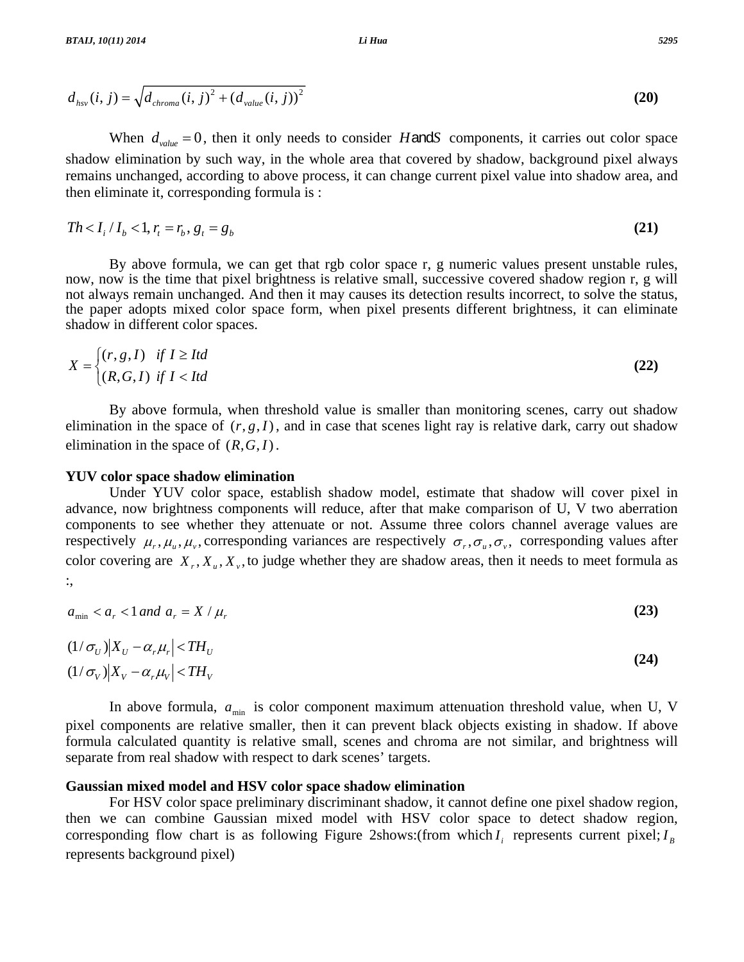$$
d_{hsv}(i, j) = \sqrt{d_{chroma}(i, j)^2 + (d_{value}(i, j))^2}
$$
 (20)

When  $d_{value} = 0$ , then it only needs to consider *H*and*S* components, it carries out color space shadow elimination by such way, in the whole area that covered by shadow, background pixel always remains unchanged, according to above process, it can change current pixel value into shadow area, and then eliminate it, corresponding formula is :

$$
Th < I_i / I_b < 1, r_t = r_b, g_t = g_b
$$
\n(21)

 By above formula, we can get that rgb color space r, g numeric values present unstable rules, now, now is the time that pixel brightness is relative small, successive covered shadow region r, g will not always remain unchanged. And then it may causes its detection results incorrect, to solve the status, the paper adopts mixed color space form, when pixel presents different brightness, it can eliminate shadow in different color spaces.

$$
X = \begin{cases} (r, g, I) & \text{if } I \geq Itd \\ (R, G, I) & \text{if } I < Itd \end{cases} \tag{22}
$$

 By above formula, when threshold value is smaller than monitoring scenes, carry out shadow elimination in the space of  $(r, g, I)$ , and in case that scenes light ray is relative dark, carry out shadow elimination in the space of (*R*,*G*,*I*).

#### **YUV color space shadow elimination**

 Under YUV color space, establish shadow model, estimate that shadow will cover pixel in advance, now brightness components will reduce, after that make comparison of U, V two aberration components to see whether they attenuate or not. Assume three colors channel average values are respectively  $\mu_r, \mu_u, \mu_v$ , corresponding variances are respectively  $\sigma_r, \sigma_u, \sigma_v$ , corresponding values after color covering are  $X_r$ ,  $X_u$ ,  $X_v$ , to judge whether they are shadow areas, then it needs to meet formula as :,

$$
a_{\min} < a_r < 1 \text{ and } a_r = X / \mu_r \tag{23}
$$

$$
(1/\sigma_U)|X_U - \alpha_r \mu_r| < TH_U
$$
\n
$$
(1/\sigma_V)|X_V - \alpha_r \mu_V| < TH_V
$$
\n
$$
(24)
$$

In above formula,  $a_{\text{min}}$  is color component maximum attenuation threshold value, when U, V pixel components are relative smaller, then it can prevent black objects existing in shadow. If above formula calculated quantity is relative small, scenes and chroma are not similar, and brightness will separate from real shadow with respect to dark scenes' targets.

#### **Gaussian mixed model and HSV color space shadow elimination**

 For HSV color space preliminary discriminant shadow, it cannot define one pixel shadow region, then we can combine Gaussian mixed model with HSV color space to detect shadow region, corresponding flow chart is as following Figure 2shows:(from which  $I_i$  represents current pixel;  $I_R$ represents background pixel)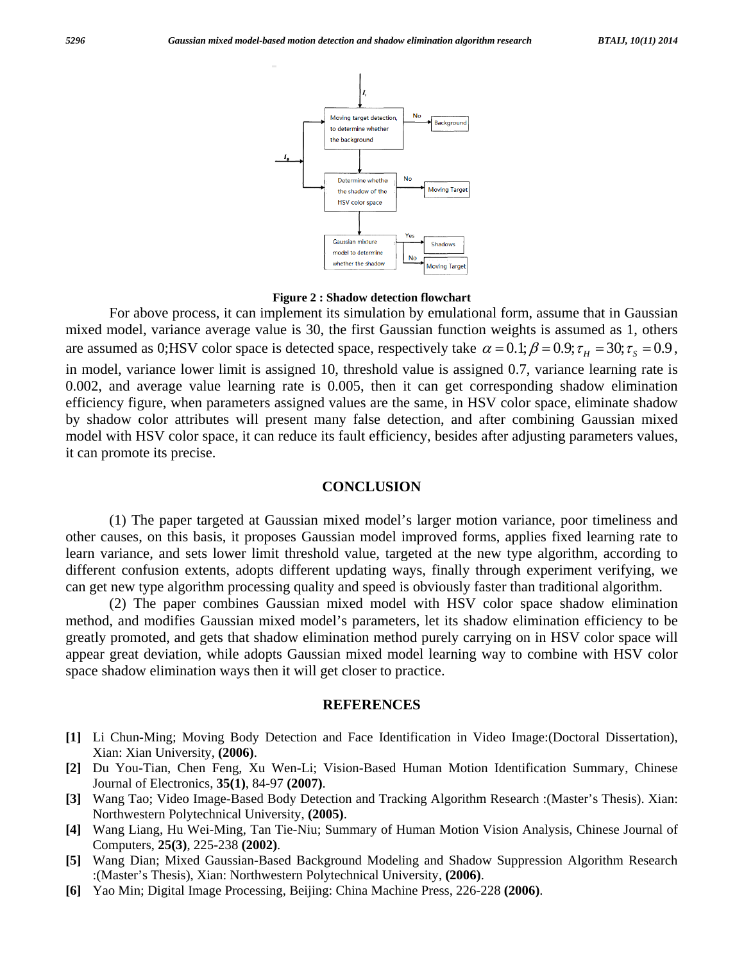

**Figure 2 : Shadow detection flowchart** 

 For above process, it can implement its simulation by emulational form, assume that in Gaussian mixed model, variance average value is 30, the first Gaussian function weights is assumed as 1, others are assumed as 0;HSV color space is detected space, respectively take  $\alpha = 0.1$ ;  $\beta = 0.9$ ;  $\tau_H = 30$ ;  $\tau_S = 0.9$ , in model, variance lower limit is assigned 10, threshold value is assigned 0.7, variance learning rate is 0.002, and average value learning rate is 0.005, then it can get corresponding shadow elimination efficiency figure, when parameters assigned values are the same, in HSV color space, eliminate shadow by shadow color attributes will present many false detection, and after combining Gaussian mixed model with HSV color space, it can reduce its fault efficiency, besides after adjusting parameters values, it can promote its precise.

#### **CONCLUSION**

 (1) The paper targeted at Gaussian mixed model's larger motion variance, poor timeliness and other causes, on this basis, it proposes Gaussian model improved forms, applies fixed learning rate to learn variance, and sets lower limit threshold value, targeted at the new type algorithm, according to different confusion extents, adopts different updating ways, finally through experiment verifying, we can get new type algorithm processing quality and speed is obviously faster than traditional algorithm.

 (2) The paper combines Gaussian mixed model with HSV color space shadow elimination method, and modifies Gaussian mixed model's parameters, let its shadow elimination efficiency to be greatly promoted, and gets that shadow elimination method purely carrying on in HSV color space will appear great deviation, while adopts Gaussian mixed model learning way to combine with HSV color space shadow elimination ways then it will get closer to practice.

#### **REFERENCES**

- **[1]** Li Chun-Ming; Moving Body Detection and Face Identification in Video Image:(Doctoral Dissertation), Xian: Xian University, **(2006)**.
- **[2]** Du You-Tian, Chen Feng, Xu Wen-Li; Vision-Based Human Motion Identification Summary, Chinese Journal of Electronics, **35(1)**, 84-97 **(2007)**.
- **[3]** Wang Tao; Video Image-Based Body Detection and Tracking Algorithm Research :(Master's Thesis). Xian: Northwestern Polytechnical University, **(2005)**.
- **[4]** Wang Liang, Hu Wei-Ming, Tan Tie-Niu; Summary of Human Motion Vision Analysis, Chinese Journal of Computers, **25(3)**, 225-238 **(2002)**.
- **[5]** Wang Dian; Mixed Gaussian-Based Background Modeling and Shadow Suppression Algorithm Research :(Master's Thesis), Xian: Northwestern Polytechnical University, **(2006)**.
- **[6]** Yao Min; Digital Image Processing, Beijing: China Machine Press, 226-228 **(2006)**.